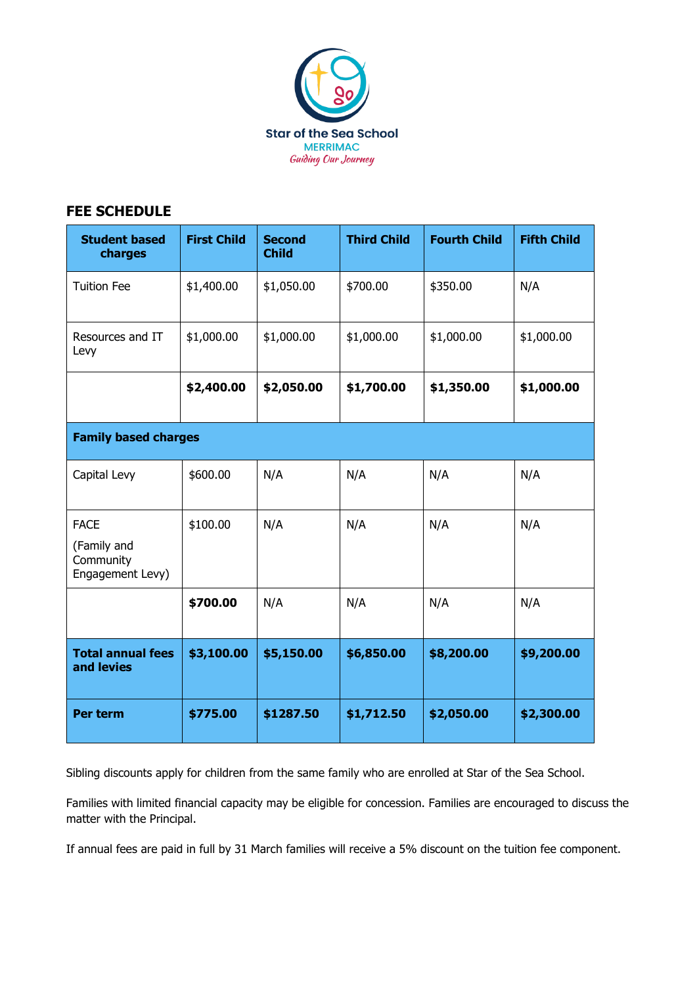

## **FEE SCHEDULE**

| <b>Student based</b><br>charges                             | <b>First Child</b> | <b>Second</b><br><b>Child</b> | <b>Third Child</b> | <b>Fourth Child</b> | <b>Fifth Child</b> |
|-------------------------------------------------------------|--------------------|-------------------------------|--------------------|---------------------|--------------------|
| <b>Tuition Fee</b>                                          | \$1,400.00         | \$1,050.00                    | \$700.00           | \$350.00            | N/A                |
| Resources and IT<br>Levy                                    | \$1,000.00         | \$1,000.00                    | \$1,000.00         | \$1,000.00          | \$1,000.00         |
|                                                             | \$2,400.00         | \$2,050.00                    | \$1,700.00         | \$1,350.00          | \$1,000.00         |
| <b>Family based charges</b>                                 |                    |                               |                    |                     |                    |
| Capital Levy                                                | \$600.00           | N/A                           | N/A                | N/A                 | N/A                |
| <b>FACE</b><br>(Family and<br>Community<br>Engagement Levy) | \$100.00           | N/A                           | N/A                | N/A                 | N/A                |
|                                                             | \$700.00           | N/A                           | N/A                | N/A                 | N/A                |
| <b>Total annual fees</b><br>and levies                      | \$3,100.00         | \$5,150.00                    | \$6,850.00         | \$8,200.00          | \$9,200.00         |
| Per term                                                    | \$775.00           | \$1287.50                     | \$1,712.50         | \$2,050.00          | \$2,300.00         |

Sibling discounts apply for children from the same family who are enrolled at Star of the Sea School.

Families with limited financial capacity may be eligible for concession. Families are encouraged to discuss the matter with the Principal.

If annual fees are paid in full by 31 March families will receive a 5% discount on the tuition fee component.